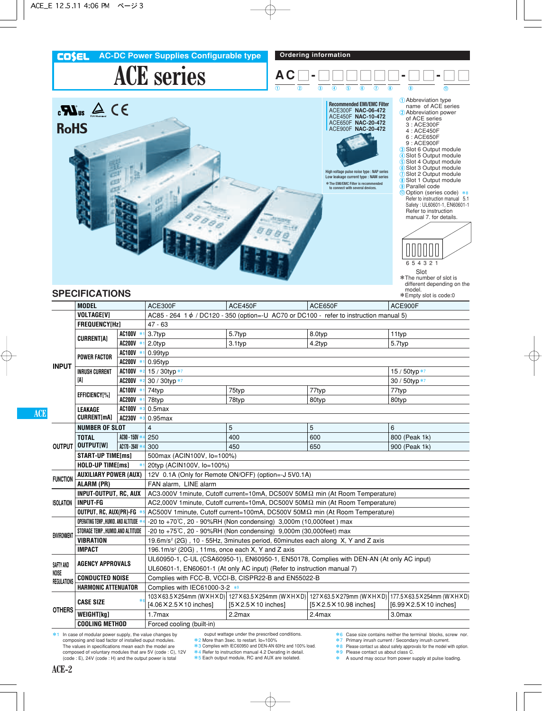## **ACE series COSEL** AC-DC Power Supplies Configurable type **Ordering information A C** O **-** OOOOOO **-** O O **-** O O



### **SPECIFICATIONS**

| <b>MODEL</b><br><b>ACE300F</b><br>ACE450F<br>ACE650F<br>ACE900F<br><b>VOLTAGE[V]</b><br>$AC85 - 264$ 1 $\phi$ / DC120 - 350 (option=-U AC70 or DC100 - refer to instruction manual 5)<br>FREQUENCY[Hz]<br>$47 - 63$<br>AC100V *<br>3.7typ<br>5.7typ<br>8.0typ<br>11typ<br><b>CURRENTIA1</b><br>AC200V *<br>3.1typ<br>4.2typ<br>5.7typ<br>2.0typ<br>AC100V<br>$0.99$ typ<br>$\ast$<br><b>POWER FACTOR</b><br><b>AC200V</b><br>$0.95$ typ<br><b>INPUT</b><br>AC100V *<br>15 / 30typ *7<br>15 / 50typ *7<br><b>INRUSH CURRENT</b><br>IA1<br>AC200V *:<br>30 / 30typ *7<br>30 / 50typ *7<br><b>AC100V</b><br>75typ<br>77typ<br>74typ<br>77typ<br>EFFICIENCY[%]<br><b>AC200V</b><br>78typ<br>78typ<br>80typ<br>80typ<br><b>AC100V</b><br>$0.5$ max<br><b>LEAKAGE</b><br>$*$<br><b>CURRENT[mA]</b><br><b>AC230V</b><br>$0.95$ max<br>$*3$<br>5<br>$\overline{4}$<br>5<br><b>NUMBER OF SLOT</b><br>6<br>AC90 - 150V *<br>250<br>400<br>600<br>800 (Peak 1k)<br><b>TOTAL</b><br>OUTPUT OUTPUT[W]<br>AC170 - 264V *<br>300<br>450<br>650<br>900 (Peak 1k)<br><b>START-UP TIME[ms]</b><br>500max (ACIN100V, lo=100%)<br><b>HOLD-UP TIME[ms]</b><br>$\ast$<br>20typ (ACIN100V, lo=100%)<br><b>AUXILIARY POWER (AUX)</b><br>12V 0.1A (Only for Remote ON/OFF) (option=-J 5V0.1A)<br><b>FUNCTION</b><br><b>ALARM (PR)</b><br>FAN alarm, LINE alarm<br>INPUT-OUTPUT, RC, AUX<br>AC3,000V 1 minute. Cutoff current=10mA, DC500V 50M $\Omega$ min (At Room Temperature)<br><b>ISOLATION</b><br><b>INPUT-FG</b><br>AC2,000V 1 minute, Cutoff current=10mA, DC500V 50M $\Omega$ min (At Room Temperature)<br>AC500V 1minute, Cutoff current=100mA, DC500V 50MΩ min (At Room Temperature)<br>OUTPUT, RC, AUX(PR)-FG<br>OPERATING TEMP., HUMID. AND ALTITUDE *<br>$-20$ to $+70^{\circ}$ C, 20 - 90%RH (Non condensing) 3,000m (10,000feet) max<br>STORAGE TEMP., HUMID.AND ALTITUDE<br>-20 to +75°C, 20 - 90%RH (Non condensing) 9,000m (30,000feet) max<br><b>ENVIRONMENT</b><br><b>VIBRATION</b><br>19.6m/s <sup>2</sup> (2G), 10 - 55Hz, 3minutes period, 60minutes each along X, Y and Z axis<br><b>IMPACT</b><br>196.1m/s <sup>2</sup> (20G), 11ms, once each X, Y and Z axis<br>UL60950-1, C-UL (CSA60950-1), EN60950-1, EN50178, Complies with DEN-AN (At only AC input)<br><b>AGENCY APPROVALS</b><br>SAFTY AND<br>UL60601-1, EN60601-1 (At only AC input) (Refer to instruction manual 7)<br>NOISE<br><b>CONDUCTED NOISE</b><br>Complies with FCC-B, VCCI-B, CISPR22-B and EN55022-B<br><b>REGULATIONS</b><br><b>HARMONIC ATTENUATOR</b><br>Complies with IEC61000-3-2 *9<br>103X63.5X254mm (WXHXD) 127X63.5X254mm (WXHXD)<br>127X63.5X279mm (WXHXD)<br><b>CASE SIZE</b><br>[4.06 × 2.5 × 10 inches]<br>$[5 \times 2.5 \times 10$ inches]<br>[5 × 2.5 × 10.98 inches]<br>[6.99 × 2.5 × 10 inches]<br><b>OTHERS</b><br>WEIGHT[kg]<br>1.7 <sub>max</sub><br>$2.2$ max<br>2.4max<br>3.0max<br>Forced cooling (built-in)<br><b>COOLING METHOD</b> |  | <b>SPECIFICATIONS</b> |  |  |  |  | *Empty slot is code:0            |  |  |  |  |  |  |  |
|-------------------------------------------------------------------------------------------------------------------------------------------------------------------------------------------------------------------------------------------------------------------------------------------------------------------------------------------------------------------------------------------------------------------------------------------------------------------------------------------------------------------------------------------------------------------------------------------------------------------------------------------------------------------------------------------------------------------------------------------------------------------------------------------------------------------------------------------------------------------------------------------------------------------------------------------------------------------------------------------------------------------------------------------------------------------------------------------------------------------------------------------------------------------------------------------------------------------------------------------------------------------------------------------------------------------------------------------------------------------------------------------------------------------------------------------------------------------------------------------------------------------------------------------------------------------------------------------------------------------------------------------------------------------------------------------------------------------------------------------------------------------------------------------------------------------------------------------------------------------------------------------------------------------------------------------------------------------------------------------------------------------------------------------------------------------------------------------------------------------------------------------------------------------------------------------------------------------------------------------------------------------------------------------------------------------------------------------------------------------------------------------------------------------------------------------------------------------------------------------------------------------------------------------------------------------------------------------------------------------------------------------------------------------------------------------------------------------------------------------------------------------------------------------------------------------------------------------------------------------------------------------------------------------------------------|--|-----------------------|--|--|--|--|----------------------------------|--|--|--|--|--|--|--|
|                                                                                                                                                                                                                                                                                                                                                                                                                                                                                                                                                                                                                                                                                                                                                                                                                                                                                                                                                                                                                                                                                                                                                                                                                                                                                                                                                                                                                                                                                                                                                                                                                                                                                                                                                                                                                                                                                                                                                                                                                                                                                                                                                                                                                                                                                                                                                                                                                                                                                                                                                                                                                                                                                                                                                                                                                                                                                                                                     |  |                       |  |  |  |  |                                  |  |  |  |  |  |  |  |
|                                                                                                                                                                                                                                                                                                                                                                                                                                                                                                                                                                                                                                                                                                                                                                                                                                                                                                                                                                                                                                                                                                                                                                                                                                                                                                                                                                                                                                                                                                                                                                                                                                                                                                                                                                                                                                                                                                                                                                                                                                                                                                                                                                                                                                                                                                                                                                                                                                                                                                                                                                                                                                                                                                                                                                                                                                                                                                                                     |  |                       |  |  |  |  |                                  |  |  |  |  |  |  |  |
|                                                                                                                                                                                                                                                                                                                                                                                                                                                                                                                                                                                                                                                                                                                                                                                                                                                                                                                                                                                                                                                                                                                                                                                                                                                                                                                                                                                                                                                                                                                                                                                                                                                                                                                                                                                                                                                                                                                                                                                                                                                                                                                                                                                                                                                                                                                                                                                                                                                                                                                                                                                                                                                                                                                                                                                                                                                                                                                                     |  |                       |  |  |  |  |                                  |  |  |  |  |  |  |  |
|                                                                                                                                                                                                                                                                                                                                                                                                                                                                                                                                                                                                                                                                                                                                                                                                                                                                                                                                                                                                                                                                                                                                                                                                                                                                                                                                                                                                                                                                                                                                                                                                                                                                                                                                                                                                                                                                                                                                                                                                                                                                                                                                                                                                                                                                                                                                                                                                                                                                                                                                                                                                                                                                                                                                                                                                                                                                                                                                     |  |                       |  |  |  |  |                                  |  |  |  |  |  |  |  |
|                                                                                                                                                                                                                                                                                                                                                                                                                                                                                                                                                                                                                                                                                                                                                                                                                                                                                                                                                                                                                                                                                                                                                                                                                                                                                                                                                                                                                                                                                                                                                                                                                                                                                                                                                                                                                                                                                                                                                                                                                                                                                                                                                                                                                                                                                                                                                                                                                                                                                                                                                                                                                                                                                                                                                                                                                                                                                                                                     |  |                       |  |  |  |  |                                  |  |  |  |  |  |  |  |
|                                                                                                                                                                                                                                                                                                                                                                                                                                                                                                                                                                                                                                                                                                                                                                                                                                                                                                                                                                                                                                                                                                                                                                                                                                                                                                                                                                                                                                                                                                                                                                                                                                                                                                                                                                                                                                                                                                                                                                                                                                                                                                                                                                                                                                                                                                                                                                                                                                                                                                                                                                                                                                                                                                                                                                                                                                                                                                                                     |  |                       |  |  |  |  |                                  |  |  |  |  |  |  |  |
|                                                                                                                                                                                                                                                                                                                                                                                                                                                                                                                                                                                                                                                                                                                                                                                                                                                                                                                                                                                                                                                                                                                                                                                                                                                                                                                                                                                                                                                                                                                                                                                                                                                                                                                                                                                                                                                                                                                                                                                                                                                                                                                                                                                                                                                                                                                                                                                                                                                                                                                                                                                                                                                                                                                                                                                                                                                                                                                                     |  |                       |  |  |  |  |                                  |  |  |  |  |  |  |  |
|                                                                                                                                                                                                                                                                                                                                                                                                                                                                                                                                                                                                                                                                                                                                                                                                                                                                                                                                                                                                                                                                                                                                                                                                                                                                                                                                                                                                                                                                                                                                                                                                                                                                                                                                                                                                                                                                                                                                                                                                                                                                                                                                                                                                                                                                                                                                                                                                                                                                                                                                                                                                                                                                                                                                                                                                                                                                                                                                     |  |                       |  |  |  |  |                                  |  |  |  |  |  |  |  |
|                                                                                                                                                                                                                                                                                                                                                                                                                                                                                                                                                                                                                                                                                                                                                                                                                                                                                                                                                                                                                                                                                                                                                                                                                                                                                                                                                                                                                                                                                                                                                                                                                                                                                                                                                                                                                                                                                                                                                                                                                                                                                                                                                                                                                                                                                                                                                                                                                                                                                                                                                                                                                                                                                                                                                                                                                                                                                                                                     |  |                       |  |  |  |  |                                  |  |  |  |  |  |  |  |
|                                                                                                                                                                                                                                                                                                                                                                                                                                                                                                                                                                                                                                                                                                                                                                                                                                                                                                                                                                                                                                                                                                                                                                                                                                                                                                                                                                                                                                                                                                                                                                                                                                                                                                                                                                                                                                                                                                                                                                                                                                                                                                                                                                                                                                                                                                                                                                                                                                                                                                                                                                                                                                                                                                                                                                                                                                                                                                                                     |  |                       |  |  |  |  |                                  |  |  |  |  |  |  |  |
|                                                                                                                                                                                                                                                                                                                                                                                                                                                                                                                                                                                                                                                                                                                                                                                                                                                                                                                                                                                                                                                                                                                                                                                                                                                                                                                                                                                                                                                                                                                                                                                                                                                                                                                                                                                                                                                                                                                                                                                                                                                                                                                                                                                                                                                                                                                                                                                                                                                                                                                                                                                                                                                                                                                                                                                                                                                                                                                                     |  |                       |  |  |  |  |                                  |  |  |  |  |  |  |  |
|                                                                                                                                                                                                                                                                                                                                                                                                                                                                                                                                                                                                                                                                                                                                                                                                                                                                                                                                                                                                                                                                                                                                                                                                                                                                                                                                                                                                                                                                                                                                                                                                                                                                                                                                                                                                                                                                                                                                                                                                                                                                                                                                                                                                                                                                                                                                                                                                                                                                                                                                                                                                                                                                                                                                                                                                                                                                                                                                     |  |                       |  |  |  |  |                                  |  |  |  |  |  |  |  |
|                                                                                                                                                                                                                                                                                                                                                                                                                                                                                                                                                                                                                                                                                                                                                                                                                                                                                                                                                                                                                                                                                                                                                                                                                                                                                                                                                                                                                                                                                                                                                                                                                                                                                                                                                                                                                                                                                                                                                                                                                                                                                                                                                                                                                                                                                                                                                                                                                                                                                                                                                                                                                                                                                                                                                                                                                                                                                                                                     |  |                       |  |  |  |  |                                  |  |  |  |  |  |  |  |
|                                                                                                                                                                                                                                                                                                                                                                                                                                                                                                                                                                                                                                                                                                                                                                                                                                                                                                                                                                                                                                                                                                                                                                                                                                                                                                                                                                                                                                                                                                                                                                                                                                                                                                                                                                                                                                                                                                                                                                                                                                                                                                                                                                                                                                                                                                                                                                                                                                                                                                                                                                                                                                                                                                                                                                                                                                                                                                                                     |  |                       |  |  |  |  |                                  |  |  |  |  |  |  |  |
|                                                                                                                                                                                                                                                                                                                                                                                                                                                                                                                                                                                                                                                                                                                                                                                                                                                                                                                                                                                                                                                                                                                                                                                                                                                                                                                                                                                                                                                                                                                                                                                                                                                                                                                                                                                                                                                                                                                                                                                                                                                                                                                                                                                                                                                                                                                                                                                                                                                                                                                                                                                                                                                                                                                                                                                                                                                                                                                                     |  |                       |  |  |  |  |                                  |  |  |  |  |  |  |  |
|                                                                                                                                                                                                                                                                                                                                                                                                                                                                                                                                                                                                                                                                                                                                                                                                                                                                                                                                                                                                                                                                                                                                                                                                                                                                                                                                                                                                                                                                                                                                                                                                                                                                                                                                                                                                                                                                                                                                                                                                                                                                                                                                                                                                                                                                                                                                                                                                                                                                                                                                                                                                                                                                                                                                                                                                                                                                                                                                     |  |                       |  |  |  |  |                                  |  |  |  |  |  |  |  |
|                                                                                                                                                                                                                                                                                                                                                                                                                                                                                                                                                                                                                                                                                                                                                                                                                                                                                                                                                                                                                                                                                                                                                                                                                                                                                                                                                                                                                                                                                                                                                                                                                                                                                                                                                                                                                                                                                                                                                                                                                                                                                                                                                                                                                                                                                                                                                                                                                                                                                                                                                                                                                                                                                                                                                                                                                                                                                                                                     |  |                       |  |  |  |  |                                  |  |  |  |  |  |  |  |
|                                                                                                                                                                                                                                                                                                                                                                                                                                                                                                                                                                                                                                                                                                                                                                                                                                                                                                                                                                                                                                                                                                                                                                                                                                                                                                                                                                                                                                                                                                                                                                                                                                                                                                                                                                                                                                                                                                                                                                                                                                                                                                                                                                                                                                                                                                                                                                                                                                                                                                                                                                                                                                                                                                                                                                                                                                                                                                                                     |  |                       |  |  |  |  |                                  |  |  |  |  |  |  |  |
|                                                                                                                                                                                                                                                                                                                                                                                                                                                                                                                                                                                                                                                                                                                                                                                                                                                                                                                                                                                                                                                                                                                                                                                                                                                                                                                                                                                                                                                                                                                                                                                                                                                                                                                                                                                                                                                                                                                                                                                                                                                                                                                                                                                                                                                                                                                                                                                                                                                                                                                                                                                                                                                                                                                                                                                                                                                                                                                                     |  |                       |  |  |  |  |                                  |  |  |  |  |  |  |  |
|                                                                                                                                                                                                                                                                                                                                                                                                                                                                                                                                                                                                                                                                                                                                                                                                                                                                                                                                                                                                                                                                                                                                                                                                                                                                                                                                                                                                                                                                                                                                                                                                                                                                                                                                                                                                                                                                                                                                                                                                                                                                                                                                                                                                                                                                                                                                                                                                                                                                                                                                                                                                                                                                                                                                                                                                                                                                                                                                     |  |                       |  |  |  |  |                                  |  |  |  |  |  |  |  |
|                                                                                                                                                                                                                                                                                                                                                                                                                                                                                                                                                                                                                                                                                                                                                                                                                                                                                                                                                                                                                                                                                                                                                                                                                                                                                                                                                                                                                                                                                                                                                                                                                                                                                                                                                                                                                                                                                                                                                                                                                                                                                                                                                                                                                                                                                                                                                                                                                                                                                                                                                                                                                                                                                                                                                                                                                                                                                                                                     |  |                       |  |  |  |  |                                  |  |  |  |  |  |  |  |
|                                                                                                                                                                                                                                                                                                                                                                                                                                                                                                                                                                                                                                                                                                                                                                                                                                                                                                                                                                                                                                                                                                                                                                                                                                                                                                                                                                                                                                                                                                                                                                                                                                                                                                                                                                                                                                                                                                                                                                                                                                                                                                                                                                                                                                                                                                                                                                                                                                                                                                                                                                                                                                                                                                                                                                                                                                                                                                                                     |  |                       |  |  |  |  |                                  |  |  |  |  |  |  |  |
|                                                                                                                                                                                                                                                                                                                                                                                                                                                                                                                                                                                                                                                                                                                                                                                                                                                                                                                                                                                                                                                                                                                                                                                                                                                                                                                                                                                                                                                                                                                                                                                                                                                                                                                                                                                                                                                                                                                                                                                                                                                                                                                                                                                                                                                                                                                                                                                                                                                                                                                                                                                                                                                                                                                                                                                                                                                                                                                                     |  |                       |  |  |  |  |                                  |  |  |  |  |  |  |  |
|                                                                                                                                                                                                                                                                                                                                                                                                                                                                                                                                                                                                                                                                                                                                                                                                                                                                                                                                                                                                                                                                                                                                                                                                                                                                                                                                                                                                                                                                                                                                                                                                                                                                                                                                                                                                                                                                                                                                                                                                                                                                                                                                                                                                                                                                                                                                                                                                                                                                                                                                                                                                                                                                                                                                                                                                                                                                                                                                     |  |                       |  |  |  |  |                                  |  |  |  |  |  |  |  |
|                                                                                                                                                                                                                                                                                                                                                                                                                                                                                                                                                                                                                                                                                                                                                                                                                                                                                                                                                                                                                                                                                                                                                                                                                                                                                                                                                                                                                                                                                                                                                                                                                                                                                                                                                                                                                                                                                                                                                                                                                                                                                                                                                                                                                                                                                                                                                                                                                                                                                                                                                                                                                                                                                                                                                                                                                                                                                                                                     |  |                       |  |  |  |  |                                  |  |  |  |  |  |  |  |
|                                                                                                                                                                                                                                                                                                                                                                                                                                                                                                                                                                                                                                                                                                                                                                                                                                                                                                                                                                                                                                                                                                                                                                                                                                                                                                                                                                                                                                                                                                                                                                                                                                                                                                                                                                                                                                                                                                                                                                                                                                                                                                                                                                                                                                                                                                                                                                                                                                                                                                                                                                                                                                                                                                                                                                                                                                                                                                                                     |  |                       |  |  |  |  |                                  |  |  |  |  |  |  |  |
|                                                                                                                                                                                                                                                                                                                                                                                                                                                                                                                                                                                                                                                                                                                                                                                                                                                                                                                                                                                                                                                                                                                                                                                                                                                                                                                                                                                                                                                                                                                                                                                                                                                                                                                                                                                                                                                                                                                                                                                                                                                                                                                                                                                                                                                                                                                                                                                                                                                                                                                                                                                                                                                                                                                                                                                                                                                                                                                                     |  |                       |  |  |  |  |                                  |  |  |  |  |  |  |  |
|                                                                                                                                                                                                                                                                                                                                                                                                                                                                                                                                                                                                                                                                                                                                                                                                                                                                                                                                                                                                                                                                                                                                                                                                                                                                                                                                                                                                                                                                                                                                                                                                                                                                                                                                                                                                                                                                                                                                                                                                                                                                                                                                                                                                                                                                                                                                                                                                                                                                                                                                                                                                                                                                                                                                                                                                                                                                                                                                     |  |                       |  |  |  |  |                                  |  |  |  |  |  |  |  |
|                                                                                                                                                                                                                                                                                                                                                                                                                                                                                                                                                                                                                                                                                                                                                                                                                                                                                                                                                                                                                                                                                                                                                                                                                                                                                                                                                                                                                                                                                                                                                                                                                                                                                                                                                                                                                                                                                                                                                                                                                                                                                                                                                                                                                                                                                                                                                                                                                                                                                                                                                                                                                                                                                                                                                                                                                                                                                                                                     |  |                       |  |  |  |  |                                  |  |  |  |  |  |  |  |
|                                                                                                                                                                                                                                                                                                                                                                                                                                                                                                                                                                                                                                                                                                                                                                                                                                                                                                                                                                                                                                                                                                                                                                                                                                                                                                                                                                                                                                                                                                                                                                                                                                                                                                                                                                                                                                                                                                                                                                                                                                                                                                                                                                                                                                                                                                                                                                                                                                                                                                                                                                                                                                                                                                                                                                                                                                                                                                                                     |  |                       |  |  |  |  |                                  |  |  |  |  |  |  |  |
|                                                                                                                                                                                                                                                                                                                                                                                                                                                                                                                                                                                                                                                                                                                                                                                                                                                                                                                                                                                                                                                                                                                                                                                                                                                                                                                                                                                                                                                                                                                                                                                                                                                                                                                                                                                                                                                                                                                                                                                                                                                                                                                                                                                                                                                                                                                                                                                                                                                                                                                                                                                                                                                                                                                                                                                                                                                                                                                                     |  |                       |  |  |  |  |                                  |  |  |  |  |  |  |  |
|                                                                                                                                                                                                                                                                                                                                                                                                                                                                                                                                                                                                                                                                                                                                                                                                                                                                                                                                                                                                                                                                                                                                                                                                                                                                                                                                                                                                                                                                                                                                                                                                                                                                                                                                                                                                                                                                                                                                                                                                                                                                                                                                                                                                                                                                                                                                                                                                                                                                                                                                                                                                                                                                                                                                                                                                                                                                                                                                     |  |                       |  |  |  |  | 177.5 × 63.5 × 254mm (W × H × D) |  |  |  |  |  |  |  |
|                                                                                                                                                                                                                                                                                                                                                                                                                                                                                                                                                                                                                                                                                                                                                                                                                                                                                                                                                                                                                                                                                                                                                                                                                                                                                                                                                                                                                                                                                                                                                                                                                                                                                                                                                                                                                                                                                                                                                                                                                                                                                                                                                                                                                                                                                                                                                                                                                                                                                                                                                                                                                                                                                                                                                                                                                                                                                                                                     |  |                       |  |  |  |  |                                  |  |  |  |  |  |  |  |
|                                                                                                                                                                                                                                                                                                                                                                                                                                                                                                                                                                                                                                                                                                                                                                                                                                                                                                                                                                                                                                                                                                                                                                                                                                                                                                                                                                                                                                                                                                                                                                                                                                                                                                                                                                                                                                                                                                                                                                                                                                                                                                                                                                                                                                                                                                                                                                                                                                                                                                                                                                                                                                                                                                                                                                                                                                                                                                                                     |  |                       |  |  |  |  |                                  |  |  |  |  |  |  |  |

\*1 In case of modular power supply, the value changes by composing and load factor of installed ouput modules. The values in specifications mean each the model are composed of voluntary modules that are 5V (code : C), 12V (code : E), 24V (code : H) and the output power is total

ouput wattage under the prescribed conditions. \*2 More than 3sec. to restart. Io=100%

- \*3 Complies with IEC60950 and DEN-AN 60Hz and 100% load.
- \*3 Completes with increased and providence and the and the and the set
- 
- \*5 Each output module, RC and AUX are isolated.
- \*6 Case size contains neither the terminal blocks, screw nor. \*7 Primary inrush current / Secondary inrush current.
- \*8 Please contact us about safety approvals for the model with option.
- 
- \*9 Please contact us about class C. \* A sound may occur from power supply at pulse loading.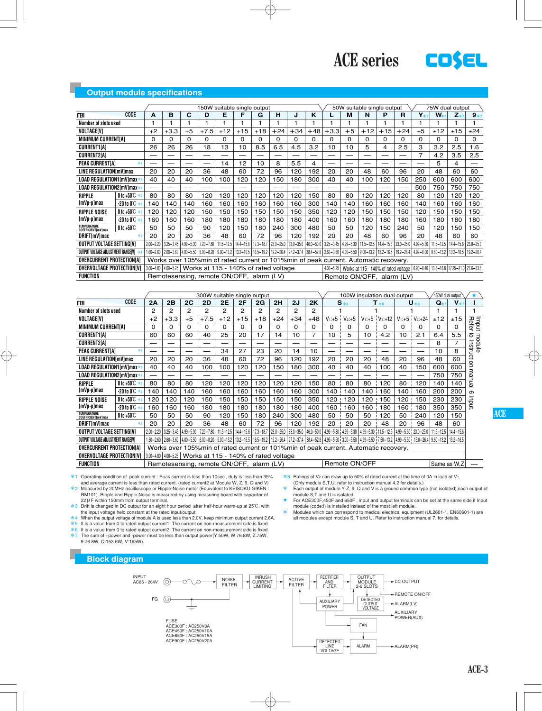#### **Output module specifications**

|                                                 |                                                                       |               | 150W suitable single output                                                       |      |               |                                      |       |               |       |       | 50W suitable single output<br>75W dual output |                                                                                       |      |                                   |       |               |                                                                                       |                     |               |               |
|-------------------------------------------------|-----------------------------------------------------------------------|---------------|-----------------------------------------------------------------------------------|------|---------------|--------------------------------------|-------|---------------|-------|-------|-----------------------------------------------|---------------------------------------------------------------------------------------|------|-----------------------------------|-------|---------------|---------------------------------------------------------------------------------------|---------------------|---------------|---------------|
| <b>ITEM</b>                                     | CODE                                                                  | A             | в                                                                                 | C    | D             | Е                                    |       | G             | н     |       | ĸ                                             |                                                                                       | м    | N                                 | Р     | R             | $Y*7$                                                                                 | $W_{*7}$            | $Z*$          | $9*7$         |
| Number of slots used                            |                                                                       |               |                                                                                   |      |               |                                      |       |               |       |       |                                               |                                                                                       |      |                                   |       |               |                                                                                       |                     |               |               |
| <b>VOLTAGEIVI</b>                               |                                                                       | $+2$          | $+3.3$                                                                            | $+5$ | $+7.5$        | $+12$                                | $+15$ | $+18$         | $+24$ | $+34$ | $+48$                                         | $+3.3$                                                                                | $+5$ | $+12$                             | $+15$ | $+24$         | ±5                                                                                    | ±12                 | ±15           | ±24           |
| <b>MINIMUM CURRENTIAI</b>                       |                                                                       | 0             | 0                                                                                 | 0    | O             | 0                                    | 0     | 0             | 0     | 0     | 0                                             | 0                                                                                     | 0    | 0                                 | 0     | <sup>0</sup>  | 0                                                                                     | 0                   | 0             | 0             |
| <b>CURRENT1[A]</b>                              |                                                                       | 26            | 26                                                                                | 26   | 18            | 13                                   | 10    | 8.5           | 6.5   | 4.5   | 3.2                                           | 10                                                                                    | 10   | 5                                 | 4     | 2.5           | 3                                                                                     | 3.2                 | 2.5           | 1.6           |
| <b>CURRENT2[A]</b>                              |                                                                       |               |                                                                                   |      |               |                                      |       |               |       |       |                                               |                                                                                       |      |                                   |       |               | 7                                                                                     | 4.2                 | 3.5           | 2.5           |
| <b>PEAK CURRENTIAI</b>                          | *1                                                                    | --            |                                                                                   |      |               | 14                                   | 12    | 10            | 8     | 5.5   | 4                                             |                                                                                       | —    |                                   |       |               |                                                                                       | 5                   | 4             |               |
| <b>LINE REGULATION[mV]max</b>                   |                                                                       | 20            | 20                                                                                | 20   | 36            | 48                                   | 60    | 72            | 96    | 120   | 192                                           | 20                                                                                    | 20   | 48                                | 60    | 96            | 20                                                                                    | 48                  | 60            | 60            |
| LOAD REGULATION1[mV]max*                        |                                                                       | 40            | 40                                                                                | 40   | 100           | 100                                  | 120   | 120           | 150   | 180   | 300                                           | 40                                                                                    | 40   | 100                               | 120   | 150           | 250                                                                                   | 600                 | 600           | 600           |
| LOAD REGULATION2[mV]max*                        |                                                                       | —             |                                                                                   | —    |               |                                      |       |               |       |       |                                               |                                                                                       |      |                                   |       |               | 500                                                                                   | 750                 | 750           | 750           |
| <b>RIPPLE</b>                                   | 0 to +50 $\degree$ *2                                                 | 80            | 80                                                                                | 80   | 120           | 120                                  | 120   | 120           | 120   | 120   | 150                                           | 80                                                                                    | 80   | 120                               | 120   | 120           | 80                                                                                    | 120                 | 120           | 120           |
| [mVp-p]max                                      | $-20$ to $0^\circ\text{C}$ $*$ 2                                      | 140           | 140                                                                               | 140  | 160           | 160                                  | 160   | 160           | 160   | 160   | 300                                           | 140                                                                                   | 140  | 160                               | 160   | 160           | 140                                                                                   | 160                 | 160           | 160           |
| <b>RIPPLE NOISE</b>                             | 0 to +50 $°C$ $*$ 2                                                   | 120           | 120                                                                               | 120  | 150           | 150                                  | 150   | 150           | 150   | 150   | 350                                           | 120                                                                                   | 120  | 150                               | 150   | 150           | 120                                                                                   | 150                 | 150           | 150           |
| [mVp-p]max                                      | -20 to 0 $\mathbb{C}$ $*$ 2                                           | 160           | 160                                                                               | 160  | 180           | 180                                  | 180   | 180           | 180   | 180   | 400                                           | 160                                                                                   | 160  | 180                               | 180   | 180           | 160                                                                                   | 180                 | 180           | 180           |
| <b>TEMPERATURE</b><br><b>COEFFICIENTIMVIMAX</b> | $0$ to +50 $\degree$ C                                                | 50            | 50                                                                                | 50   | 90            | 120                                  | 150   | 180           | 240   | 300   | 480                                           | 50                                                                                    | 50   | 120                               | 150   | 240           | 50                                                                                    | 120                 | 150           | 150           |
| <b>DRIFTImVImax</b>                             | $*3$                                                                  | 20            | 20                                                                                | 20   | 36            | 48                                   | 60    | 72            | 96    | 120   | 192                                           | 20                                                                                    | 20   | 48                                | 60    | 96            | 20                                                                                    | 48                  | 60            | 60            |
| OUTPUT VOLTAGE SETTINGIVI                       |                                                                       | $2.00 - 2.20$ | 3.25-3.45   4.99-5.30                                                             |      | $7.20 - 7.80$ | 11.5-12.5   14.4-15.6                |       | $17.3 - 18.7$ |       |       |                                               | 23.0-25.0   33.0-35.0   46.0-50.0   3.25-3.45                                         |      | 4.99-5.30   11.5-12.5   14.4-15.6 |       | $23.0 - 25.0$ | $ 4.99 - 5.30 $                                                                       | 11.5-12.5 14.4-15.6 |               | $23.0 - 25.0$ |
| OUTPUT VOLTAGE ADJUSTMENT RANGEIVI              |                                                                       |               | 1.60-2.60   2.60-3.60   4.00-5.50   6.00-8.20   9.00-13.2   13.2-16.5   16.5-19.2 |      |               |                                      |       |               |       |       |                                               | 19.2-26.4   27.2-37.4   38.4-52.8   2.60-3.60   4.00-5.50   9.00-13.2   13.2-16.5     |      |                                   |       | $19.2 - 26.4$ | $ 4.99 - 6.00 9.60 - 13.2 $                                                           |                     | $13.2 - 16.5$ | $19.2 - 26.4$ |
| <b>OVERCURRENT PROTECTIONIAL</b>                |                                                                       |               |                                                                                   |      |               |                                      |       |               |       |       |                                               | Works over 105% min of rated current or 101% min of peak current. Automatic recovery. |      |                                   |       |               |                                                                                       |                     |               |               |
| <b>OVERVOLTAGE PROTECTIONIVI</b>                |                                                                       |               | $3.00 - 4.80$   $4.00 - 5.25$                                                     |      |               | Works at 115 - 140% of rated voltage |       |               |       |       |                                               | $4.00 - 5.25$                                                                         |      |                                   |       |               | Works at 115 - 140% of rated voltage   6.90-8.40   13.8-16.8   17.25-21.0   27.6-33.6 |                     |               |               |
| <b>FUNCTION</b>                                 | Remotesensing, remote ON/OFF, alarm (LV)<br>Remote ON/OFF. alarm (LV) |               |                                                                                   |      |               |                                      |       |               |       |       |                                               |                                                                                       |      |                                   |       |               |                                                                                       |                     |               |               |

|                                                 |                                |               | 300W suitable single output                                                           |           |                               |                     |               |       |       |       |                                                                                 | 100W insulation dual output<br>150W dual output |               |           |            |           |            |                                                                                                                                                          |         |                |
|-------------------------------------------------|--------------------------------|---------------|---------------------------------------------------------------------------------------|-----------|-------------------------------|---------------------|---------------|-------|-------|-------|---------------------------------------------------------------------------------|-------------------------------------------------|---------------|-----------|------------|-----------|------------|----------------------------------------------------------------------------------------------------------------------------------------------------------|---------|----------------|
| <b>ITEM</b>                                     | CODE                           | 2A            | 2B                                                                                    | 2C        | 2D                            | 2E                  | 2F            | 2G    | 2H    | 2J    | 2K                                                                              |                                                 | $S_{*8}$      |           | $T_{*8}$   |           | $U * 8$    | Q                                                                                                                                                        | $V_{*}$ |                |
| Number of slots used                            |                                | 2             | 2                                                                                     | 2         | 2                             | 2                   | 2             | 2     | 2     | 2     | 2                                                                               |                                                 |               |           |            |           |            |                                                                                                                                                          |         |                |
| <b>VOLTAGEIVI</b>                               |                                | $+2$          | $+3.3$                                                                                | $+5$      | $+7.5$                        | $+12$               | $+15$         | $+18$ | $+24$ | $+34$ | $+48$                                                                           | $V_1: +5$                                       | $V_2: +5$     | $V_1 + 5$ | $V_2: +12$ | $V_1: +5$ | $V_2: +24$ | ±12                                                                                                                                                      | ±15     |                |
| <b>MINIMUM CURRENTIAI</b>                       |                                | 0             | 0                                                                                     | 0         | 0                             | 0                   | 0             | 0     | 0     | 0     | 0                                                                               | 0                                               | 0             | 0         | 0          | 0         | 0          | 0                                                                                                                                                        | 0       | lmput<br>Refer |
| <b>CURRENT1IA1</b>                              |                                | 60            | 60                                                                                    | 60        | 40                            | 25                  | 20            | 17    | 14    | 10    | 7                                                                               | 10                                              | 5             | 10        | 4.2        | 10        | 2.1        | 6.4                                                                                                                                                      | 5.5     | ಕ<br>В         |
| <b>CURRENT2[A]</b>                              |                                | __            |                                                                                       |           |                               |                     |               |       |       |       |                                                                                 |                                                 |               |           |            |           |            | 8                                                                                                                                                        |         | nodule         |
| <b>PEAK CURRENTIAI</b>                          | *1                             |               |                                                                                       |           |                               | 34                  | 27            | 23    | 20    | 14    | 10                                                                              |                                                 |               |           |            |           |            | 10                                                                                                                                                       | 8       |                |
| LINE REGULATION[mV]max                          |                                | 20            | 20                                                                                    | 20        | 36                            | 48                  | 60            | 72    | 96    | 120   | 192                                                                             | 20                                              | 20            | 20        | 48         | 20        | 96         | 48                                                                                                                                                       | 60      | Instructio     |
| LOAD REGULATION1[mV]max*                        |                                | 40            | 40                                                                                    | 40        | 100                           | 100                 | 120           | 120   | 150   | 180   | 300                                                                             | 40                                              | 40            | 40        | 100        | 40        | 150        | 600                                                                                                                                                      | 600     | ∍              |
| LOAD REGULATION2[mV]max*                        |                                | —             |                                                                                       |           |                               |                     |               |       |       |       |                                                                                 |                                                 |               |           |            |           |            | 750                                                                                                                                                      | 750     | man            |
| <b>RIPPLE</b>                                   | 0 to +50 $°C$ $*$ 2            | 80            | 80                                                                                    | 80        | 120                           | 120                 | 120           | 120   | 120   | 120   | 150                                                                             | 80                                              | 80            | 80        | 120        | 80        | 120        | 140                                                                                                                                                      | 140     | 듧              |
| $[mVp-p]max$                                    | $-20$ to $0^{\circ}C \cdot z$  | 140           | 140                                                                                   | 140       | 160                           | 160                 | 160           | 160   | 160   | 160   | 300                                                                             | 140                                             | 140           | 140       | 160        | 140       | 160        | 200                                                                                                                                                      | 200     | $\sigma$       |
| <b>RIPPLE NOISE</b>                             | 0 to +50 $°C$ $*$ <sub>2</sub> | 120           | 120                                                                                   | 120       | 150                           | 150                 | 150           | 150   | 150   | 150   | 350                                                                             | 120                                             | 120           | 120       | 150        | 120       | 150        | 230                                                                                                                                                      | 230     | Indu           |
| [mVp-p]max                                      | -20 to $0^\circ\text{C}$ $*$ 2 | 160           | 160                                                                                   | 160       | 180                           | 180                 | 180           | 180   | 180   | 180   | 400                                                                             | 160                                             | 160           | 160       | 180        | 160       | 180        | 350                                                                                                                                                      | 350     |                |
| <b>TEMPERATURE</b><br><b>COFFFICIENTImVImax</b> | $0$ to +50 $\degree$ C         | 50            | 50                                                                                    | 50        | 90                            | 120                 | 150           | 180   | 240   | 300   | 480                                                                             | 50                                              | 50            | 50        | 120        | 50        | 240        | 120                                                                                                                                                      | 150     |                |
| DRIFT[mV]max                                    | *3                             | 20            | 20                                                                                    | 20        | 36                            | 48                  | 60            | 72    | 96    | 120   | 192                                                                             | 20                                              | 20            | 20        | 48         | 20        | 96         | 48                                                                                                                                                       | 60      |                |
| OUTPUT VOLTAGE SETTINGIVI                       |                                | $2.00 - 2.20$ | $3.25 - 3.45$                                                                         | 4.99-5.30 |                               | 7.20-7.80 11.5-12.5 | $14.4 - 15.6$ |       |       |       | 17.3-18.7 23.0-25.0 33.0-35.0 46.0-50.0 4.99-5.30 4.99-5.30 4.99-5.30 11.5-12.5 |                                                 |               |           |            |           |            | 4.99-5.30   23.0-25.0   11.5-12.5   14.4-15.6                                                                                                            |         |                |
| OUTPUT VOLTAGE ADJUSTMENT RANGEIVI              |                                | $1.60 - 2.60$ | $2.60 - 3.60$                                                                         |           | 4.00-5.50 6.00-8.20 9.00-13.2 |                     |               |       |       |       |                                                                                 |                                                 |               |           |            |           |            | 132-16.5   16.5-19.2   19.2-26.4   27.2-37.4   38.4-52.8   4.99-5.50   3.00-5.50   4.99-5.50   7.50-13.2   4.99-5.50   15.0-26.4   9.60-13.2   13.2-16.5 |         |                |
| <b>OVERCURRENT PROTECTIONIAL</b>                |                                |               | Works over 105% min of rated current or 101% min of peak current. Automatic recovery. |           |                               |                     |               |       |       |       |                                                                                 |                                                 |               |           |            |           |            |                                                                                                                                                          |         |                |
| <b>OVERVOLTAGE PROTECTIONIVI</b>                |                                |               | 3.00-4.80 4.00-5.25 Works at 115 - 140% of rated voltage                              |           |                               |                     |               |       |       |       |                                                                                 |                                                 |               |           |            |           |            |                                                                                                                                                          |         |                |
| <b>FUNCTION</b>                                 |                                |               | Remotesensing, remote ON/OFF, alarm (LV)                                              |           |                               |                     |               |       |       |       |                                                                                 |                                                 | Remote ON/OFF |           |            |           |            | Same as W.Z                                                                                                                                              |         |                |

\*1 Operating condition of peak current : Peak current is less than 10sec., duty is less than 35% and average current is less than rated current. (rated current2 at Module W, Z, 9, Q and V)

\*2 Measured by 20MHz oscilloscope or Ripple-Noise meter (Equivalent to KEISOKU-GIKEN :

RM101). Ripple and Ripple Noise is measured by using measuring board with capacitor of<br>22 µ F within 150mm from output terminal.

\*3 Drift is changed in DC output for an eight hour period after half-hour warm-up at 25°C, with

the input voltage held constant at the rated input/output.<br>\*4 When the output voltage of module A is used less than 2.0V, keep minimum output current 2.6A<br>\*5 It is a value from 0 to rated output current1. The current on n

 $*6$  It is a value from 0 to rated output current2. The current on non-measurement side is fixed.<br> $*7$  The sum of +power and -power must be less than output power(Y:50W, W:76.8W, Z:75W, The sum of +power and -power must be less than output power(Y:50W, W:76.8W, Z:75W, 9:76.8W, Q:153.6W, V:165W).

\*8 Ratings of V2 can draw up to 50% of rated current at the time of 0A in load of V1. (Only module S,T,U. refer to instruction manual 4.2 for details.)

- \* Each output of module Y-Z, 9, Q and V is a ground common type (not isolated),each output of module S,T and U is isolated.
- $\star$  For ACE300F,450F and 650F, input and output terminals can be set at the same side if Input module (code:I) is installed instead of the most left module.

Modules which can correspond to medical electrical equipment (UL2601-1, EN60601-1) are all modules except module S, T and U. Refer to instruction manual 7. for details.

**Block diagram**

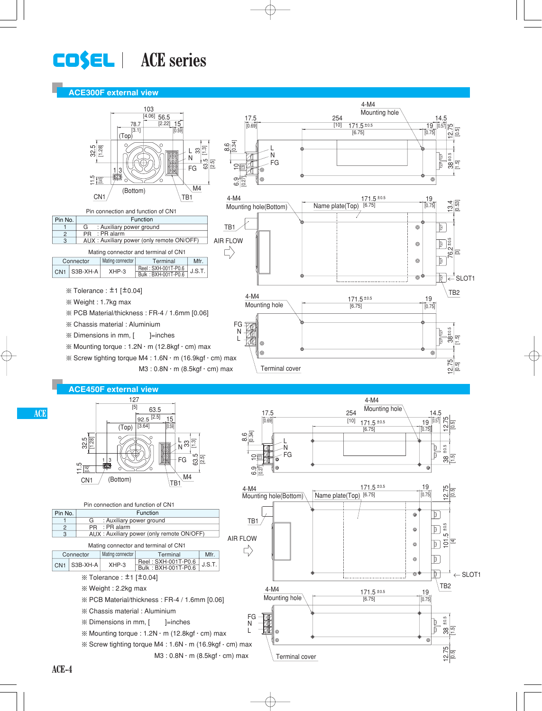# **LOSEL** | ACE series

#### **ACE300F external view**



**ACE**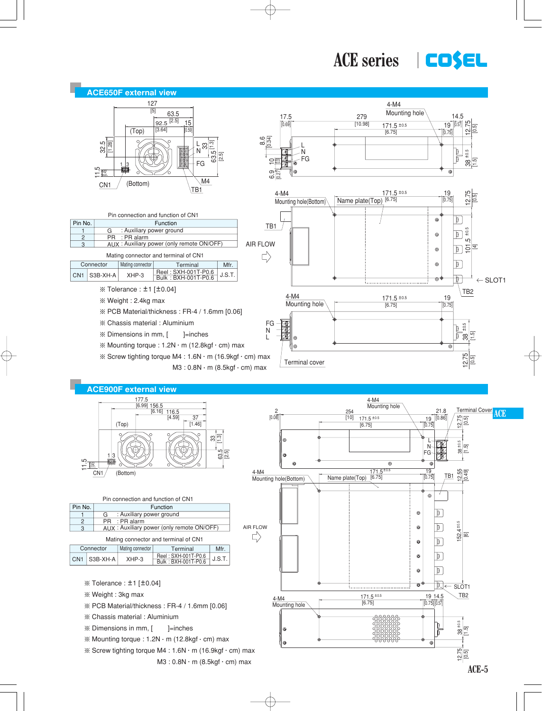ACE series **COSEL** 



- $\%$  Mounting torque : 1.2N  $\cdot$  m (12.8kgf $\cdot$  cm) max
- $\%$  Screw tighting torque M4 : 1.6N  $\cdot$  m (16.9kgf  $\cdot$  cm) max  $M3: 0.8N \cdot m$  (8.5kgf  $\cdot$  cm) max

 $\frac{12.75}{10.51}$ 

⊚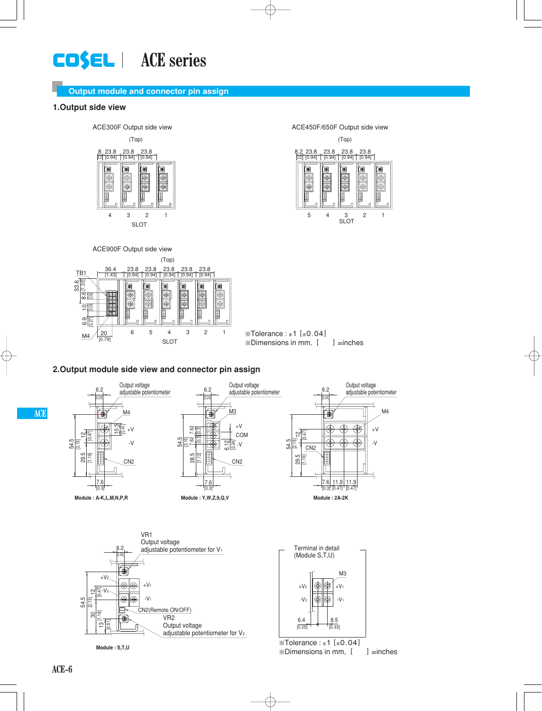# **LOSEL** | ACE series

### **Output module and connector pin assign**

#### **1.Output side view**



(Top) ACE450F/650F Output side view 8.2 23.8







#### **2.Output module side view and connector pin assign**



adjustable potentiometer for V2

 $\mathcal{X}$ Tolerance : ±1 [±0.04]  $\mathbb X$ Dimensions in mm,  $[$  ] =inches

**Module : S,T,U**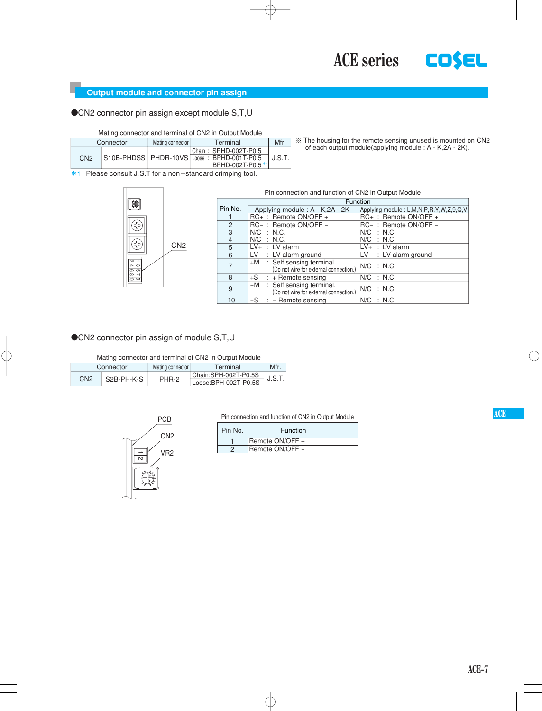#### **Output module and connector pin assign**

**OCN2** connector pin assign except module S,T,U

Mating connector and terminal of CN2 in Output Module

|                | Connector | Mating connector | Mfr                                                                                        |        |
|----------------|-----------|------------------|--------------------------------------------------------------------------------------------|--------|
| C <sub>N</sub> |           |                  | Chain: SPHD-002T-P0.5<br>S10B-PHDSS   PHDR-10VS Loose: BPHD-001T-P0.5<br>BPHD-002T-P0.5 *1 | J.S.T. |

¶ The housing for the remote sensing unused is mounted on CN2 of each output module(applying module : A - K,2A - 2K).

\*1 Please consult J.S.T for a non-standard crimping tool.



#### Function Pin connection and function of CN2 in Output Module

|                | i uncuon                                                                           |                                        |
|----------------|------------------------------------------------------------------------------------|----------------------------------------|
| Pin No.        | Applying module: A - K,2A - 2K                                                     | Applying module: L,M,N,P,R,Y,W,Z,9,Q,V |
|                | RC+: Remote ON/OFF +                                                               | RC+: Remote ON/OFF +                   |
| $\overline{2}$ | RC-: Remote ON/OFF -                                                               | RC-: Remote ON/OFF-                    |
| 3              | $N/C$ : N.C.                                                                       | $N/C$ : N.C.                           |
| 4              | $N/C$ : N.C.                                                                       | $N/C$ : N.C.                           |
| 5              | $LV+$ : LV alarm                                                                   | $LV+$ : LV alarm                       |
| 6              | $LV-$ : LV alarm ground                                                            | $LV-$ : LV alarm ground                |
|                | $\overline{+M}$ : Self sensing terminal.<br>(Do not wire for external connection.) | $N/C$ : N.C.                           |
| 8              | $+S$ : + Remote sensing                                                            | $N/C$ : N.C.                           |
| 9              | : Self sensing terminal.<br>-M<br>(Do not wire for external connection.)           | $N/C$ : N.C.                           |
| 10             | $-S$ : - Remote sensing                                                            | $N/C$ : N.C.                           |

**CN2** connector pin assign of module S,T,U

Mating connector and terminal of CN2 in Output Module

|     | Connector  | Mating connector | Terminal                                     | Mfr.  |
|-----|------------|------------------|----------------------------------------------|-------|
| CN2 | S2B-PH-K-S | PHR-2            | Chain:SPH-002T-P0.5S<br>Loose:BPH-002T-P0.5S | J.S.T |



#### Pin connection and function of CN2 in Output Module

| Pin No. | Function        |
|---------|-----------------|
|         | Remote ON/OFF + |
|         | Remote ON/OFF - |
|         |                 |